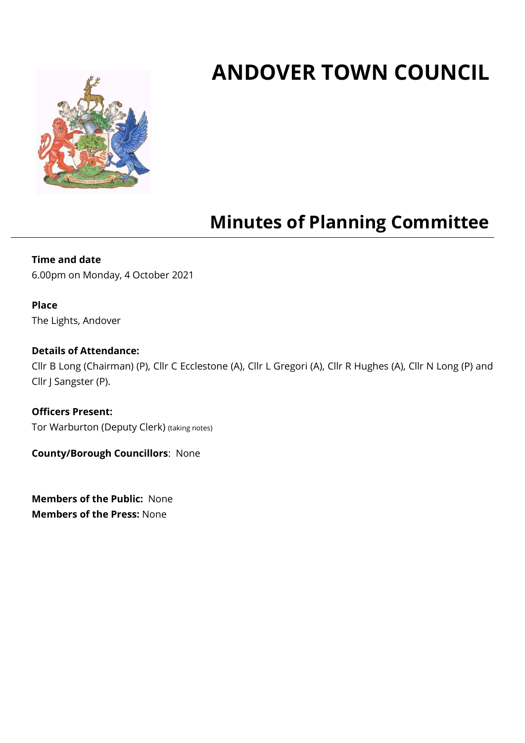# **ANDOVER TOWN COUNCIL**



## **Minutes of Planning Committee**

#### **Time and date**

6.00pm on Monday, 4 October 2021

#### **Place**

The Lights, Andover

#### **Details of Attendance:**

Cllr B Long (Chairman) (P), Cllr C Ecclestone (A), Cllr L Gregori (A), Cllr R Hughes (A), Cllr N Long (P) and Cllr J Sangster (P).

**Officers Present:** Tor Warburton (Deputy Clerk) (taking notes)

**County/Borough Councillors**: None

**Members of the Public:** None **Members of the Press:** None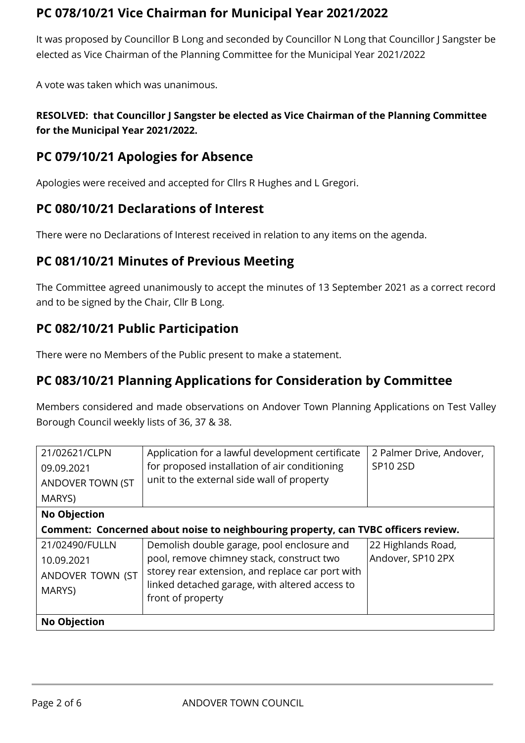## **PC 078/10/21 Vice Chairman for Municipal Year 2021/2022**

It was proposed by Councillor B Long and seconded by Councillor N Long that Councillor J Sangster be elected as Vice Chairman of the Planning Committee for the Municipal Year 2021/2022

A vote was taken which was unanimous.

#### **RESOLVED: that Councillor J Sangster be elected as Vice Chairman of the Planning Committee for the Municipal Year 2021/2022.**

## **PC 079/10/21 Apologies for Absence**

Apologies were received and accepted for Cllrs R Hughes and L Gregori.

#### **PC 080/10/21 Declarations of Interest**

There were no Declarations of Interest received in relation to any items on the agenda.

#### **PC 081/10/21 Minutes of Previous Meeting**

The Committee agreed unanimously to accept the minutes of 13 September 2021 as a correct record and to be signed by the Chair, Cllr B Long.

#### **PC 082/10/21 Public Participation**

There were no Members of the Public present to make a statement.

#### **PC 083/10/21 Planning Applications for Consideration by Committee**

Members considered and made observations on Andover Town Planning Applications on Test Valley Borough Council weekly lists of 36, 37 & 38.

| 21/02621/CLPN                                                                      | Application for a lawful development certificate | 2 Palmer Drive, Andover, |  |  |
|------------------------------------------------------------------------------------|--------------------------------------------------|--------------------------|--|--|
| 09.09.2021                                                                         | for proposed installation of air conditioning    | SP10 2SD                 |  |  |
| ANDOVER TOWN (ST                                                                   | unit to the external side wall of property       |                          |  |  |
| MARYS)                                                                             |                                                  |                          |  |  |
| <b>No Objection</b>                                                                |                                                  |                          |  |  |
| Comment: Concerned about noise to neighbouring property, can TVBC officers review. |                                                  |                          |  |  |
| 21/02490/FULLN                                                                     | Demolish double garage, pool enclosure and       | 22 Highlands Road,       |  |  |
| 10.09.2021                                                                         | pool, remove chimney stack, construct two        | Andover, SP10 2PX        |  |  |
| ANDOVER TOWN (ST                                                                   | storey rear extension, and replace car port with |                          |  |  |
| MARYS)                                                                             | linked detached garage, with altered access to   |                          |  |  |
|                                                                                    | front of property                                |                          |  |  |
| <b>No Objection</b>                                                                |                                                  |                          |  |  |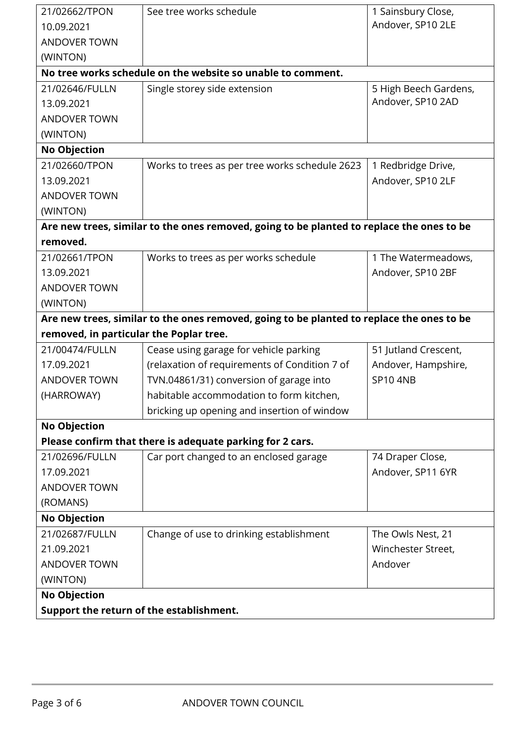| 21/02662/TPON                                                   | See tree works schedule                                                                   | 1 Sainsbury Close,    |
|-----------------------------------------------------------------|-------------------------------------------------------------------------------------------|-----------------------|
| 10.09.2021                                                      |                                                                                           | Andover, SP10 2LE     |
| <b>ANDOVER TOWN</b>                                             |                                                                                           |                       |
| (WINTON)                                                        |                                                                                           |                       |
|                                                                 | No tree works schedule on the website so unable to comment.                               |                       |
| 21/02646/FULLN                                                  | Single storey side extension                                                              | 5 High Beech Gardens, |
| 13.09.2021                                                      |                                                                                           | Andover, SP10 2AD     |
| <b>ANDOVER TOWN</b>                                             |                                                                                           |                       |
| (WINTON)                                                        |                                                                                           |                       |
| <b>No Objection</b>                                             |                                                                                           |                       |
| 21/02660/TPON                                                   | Works to trees as per tree works schedule 2623                                            | 1 Redbridge Drive,    |
| 13.09.2021                                                      |                                                                                           | Andover, SP10 2LF     |
| <b>ANDOVER TOWN</b>                                             |                                                                                           |                       |
| (WINTON)                                                        |                                                                                           |                       |
|                                                                 | Are new trees, similar to the ones removed, going to be planted to replace the ones to be |                       |
| removed.                                                        |                                                                                           |                       |
| 21/02661/TPON                                                   | Works to trees as per works schedule                                                      | 1 The Watermeadows,   |
| 13.09.2021                                                      |                                                                                           | Andover, SP10 2BF     |
| <b>ANDOVER TOWN</b>                                             |                                                                                           |                       |
| (WINTON)                                                        |                                                                                           |                       |
|                                                                 | Are new trees, similar to the ones removed, going to be planted to replace the ones to be |                       |
| removed, in particular the Poplar tree.                         |                                                                                           |                       |
| 21/00474/FULLN                                                  | Cease using garage for vehicle parking                                                    | 51 Jutland Crescent,  |
| 17.09.2021                                                      | (relaxation of requirements of Condition 7 of                                             | Andover, Hampshire,   |
| <b>ANDOVER TOWN</b>                                             | TVN.04861/31) conversion of garage into                                                   | <b>SP10 4NB</b>       |
| (HARROWAY)                                                      | habitable accommodation to form kitchen,                                                  |                       |
|                                                                 | bricking up opening and insertion of window                                               |                       |
| <b>No Objection</b>                                             |                                                                                           |                       |
|                                                                 | Please confirm that there is adequate parking for 2 cars.                                 |                       |
| 21/02696/FULLN                                                  | Car port changed to an enclosed garage                                                    | 74 Draper Close,      |
| 17.09.2021                                                      |                                                                                           | Andover, SP11 6YR     |
| <b>ANDOVER TOWN</b>                                             |                                                                                           |                       |
|                                                                 |                                                                                           |                       |
| (ROMANS)                                                        |                                                                                           |                       |
| <b>No Objection</b>                                             |                                                                                           |                       |
| 21/02687/FULLN                                                  | Change of use to drinking establishment                                                   | The Owls Nest, 21     |
| 21.09.2021                                                      |                                                                                           | Winchester Street,    |
| <b>ANDOVER TOWN</b>                                             |                                                                                           | Andover               |
| (WINTON)                                                        |                                                                                           |                       |
| <b>No Objection</b><br>Support the return of the establishment. |                                                                                           |                       |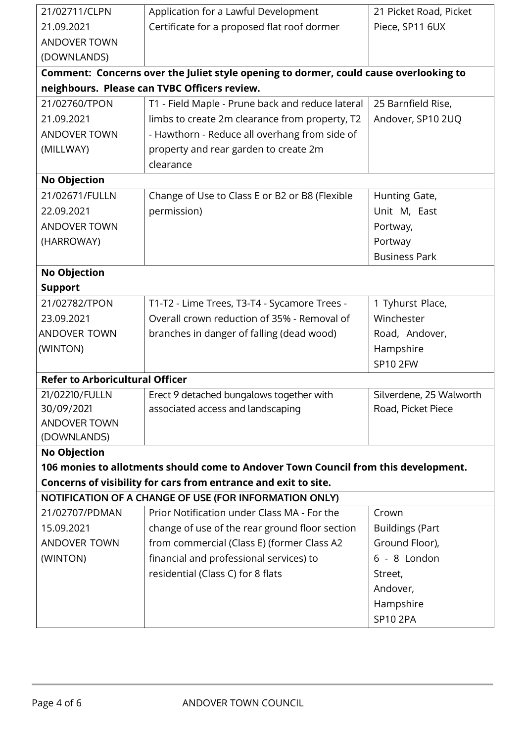| 21/02711/CLPN                          | Application for a Lawful Development                                                  | 21 Picket Road, Picket  |
|----------------------------------------|---------------------------------------------------------------------------------------|-------------------------|
| 21.09.2021                             | Certificate for a proposed flat roof dormer                                           | Piece, SP11 6UX         |
| <b>ANDOVER TOWN</b>                    |                                                                                       |                         |
| (DOWNLANDS)                            |                                                                                       |                         |
|                                        | Comment: Concerns over the Juliet style opening to dormer, could cause overlooking to |                         |
|                                        | neighbours. Please can TVBC Officers review.                                          |                         |
| 21/02760/TPON                          | T1 - Field Maple - Prune back and reduce lateral                                      | 25 Barnfield Rise,      |
| 21.09.2021                             | limbs to create 2m clearance from property, T2                                        | Andover, SP10 2UQ       |
| <b>ANDOVER TOWN</b>                    | - Hawthorn - Reduce all overhang from side of                                         |                         |
| (MILLWAY)                              | property and rear garden to create 2m                                                 |                         |
|                                        | clearance                                                                             |                         |
| <b>No Objection</b>                    |                                                                                       |                         |
| 21/02671/FULLN                         | Change of Use to Class E or B2 or B8 (Flexible                                        | Hunting Gate,           |
| 22.09.2021                             | permission)                                                                           | Unit M, East            |
| <b>ANDOVER TOWN</b>                    |                                                                                       | Portway,                |
| (HARROWAY)                             |                                                                                       | Portway                 |
|                                        |                                                                                       | <b>Business Park</b>    |
| <b>No Objection</b>                    |                                                                                       |                         |
| <b>Support</b>                         |                                                                                       |                         |
| 21/02782/TPON                          | T1-T2 - Lime Trees, T3-T4 - Sycamore Trees -                                          | 1 Tyhurst Place,        |
| 23.09.2021                             | Overall crown reduction of 35% - Removal of                                           | Winchester              |
| <b>ANDOVER TOWN</b>                    | branches in danger of falling (dead wood)                                             | Road, Andover,          |
| (WINTON)                               |                                                                                       | Hampshire               |
|                                        |                                                                                       | <b>SP10 2FW</b>         |
| <b>Refer to Arboricultural Officer</b> |                                                                                       |                         |
| 21/02210/FULLN                         | Erect 9 detached bungalows together with                                              | Silverdene, 25 Walworth |
| 30/09/2021                             | associated access and landscaping                                                     | Road, Picket Piece      |
| ANDOVER TOWN                           |                                                                                       |                         |
| (DOWNLANDS)                            |                                                                                       |                         |
| <b>No Objection</b>                    |                                                                                       |                         |
|                                        | 106 monies to allotments should come to Andover Town Council from this development.   |                         |
|                                        | Concerns of visibility for cars from entrance and exit to site.                       |                         |
|                                        | NOTIFICATION OF A CHANGE OF USE (FOR INFORMATION ONLY)                                |                         |
| 21/02707/PDMAN                         | Prior Notification under Class MA - For the                                           | Crown                   |
| 15.09.2021                             | change of use of the rear ground floor section                                        | <b>Buildings (Part</b>  |
| <b>ANDOVER TOWN</b>                    | from commercial (Class E) (former Class A2                                            | Ground Floor),          |
| (WINTON)                               | financial and professional services) to                                               | 6 - 8 London            |
|                                        | residential (Class C) for 8 flats                                                     | Street,                 |
|                                        |                                                                                       | Andover,                |
|                                        |                                                                                       | Hampshire               |
|                                        |                                                                                       | <b>SP10 2PA</b>         |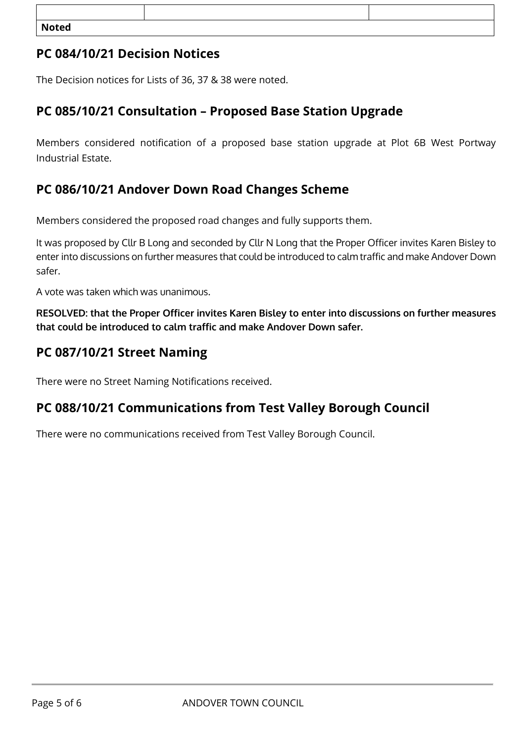| <b>Noted</b> |  |
|--------------|--|

## **PC 084/10/21 Decision Notices**

The Decision notices for Lists of 36, 37 & 38 were noted.

## **PC 085/10/21 Consultation – Proposed Base Station Upgrade**

Members considered notification of a proposed base station upgrade at Plot 6B West Portway Industrial Estate.

#### **PC 086/10/21 Andover Down Road Changes Scheme**

Members considered the proposed road changes and fully supports them.

It was proposed by Cllr B Long and seconded by Cllr N Long that the Proper Officer invites Karen Bisley to enter into discussions on further measures that could be introduced to calm traffic and make Andover Down safer.

A vote was taken which was unanimous.

**RESOLVED: that the Proper Officer invites Karen Bisley to enter into discussions on further measures that could be introduced to calm traffic and make Andover Down safer.**

#### **PC 087/10/21 Street Naming**

There were no Street Naming Notifications received.

#### **PC 088/10/21 Communications from Test Valley Borough Council**

There were no communications received from Test Valley Borough Council.